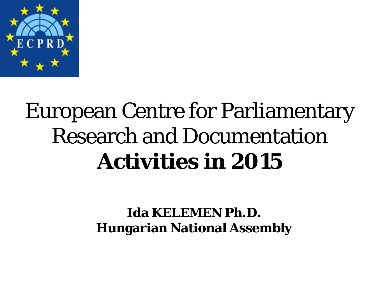

### European Centre for Parliamentary Research and Documentation **Activities in 2015**

#### **Ida KELEMEN Ph.D. Hungarian National Assembly**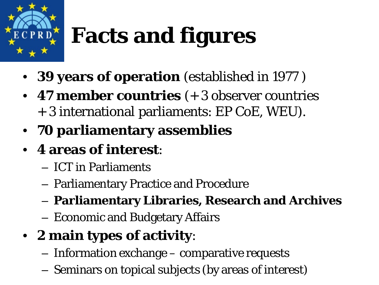

# **Facts and figures**

- **39 years of operation** (established in 1977 )
- **47 member countries** (+ 3 observer countries + 3 international parliaments: EP CoE, WEU).
- **70 parliamentary assemblies**
- **4 areas of interest**:
	- ICT in Parliaments
	- Parliamentary Practice and Procedure
	- **Parliamentary Libraries, Research and Archives**
	- Economic and Budgetary Affairs
- **2 main types of activity**:
	- Information exchange comparative requests
	- Seminars on topical subjects (by areas of interest)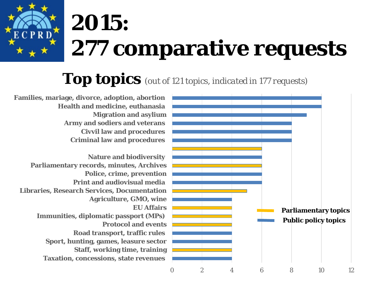# **2015: 277 comparative requests**

#### **Top topics** *(out of 121 topics, indicated in 177 requests)*

**Criminal law and procedures Civvil law and procedures Army and sodiers and veterans Migration and asylium Health and medicine, euthanasia Families, mariage, divorce, adoption, abortion**

**Taxation, concessions, state revenues Staff, working time, training Sport, hunting, games, leasure sector Road transport, traffic rules Protocol and events Immunities, diplomatic passport (MPs) EU Affairs Agriculture, GMO, wine Libraries, Research Services, Documentation Print and audiovisual media Police, crime, prevention Parliamentary records, minutes, Archives Nature and biodiversity**

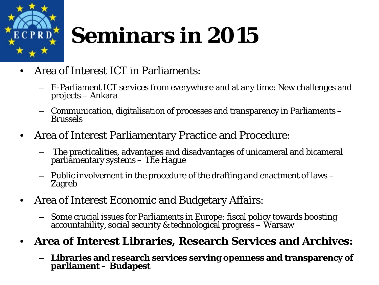

## **Seminars in 2015**

- Area of Interest ICT in Parliaments:
	- E-Parliament ICT services from everywhere and at any time: New challenges and projects – Ankara
	- Communication, digitalisation of processes and transparency in Parliaments Brussels
- Area of Interest Parliamentary Practice and Procedure:
	- The practicalities, advantages and disadvantages of unicameral and bicameral parliamentary systems – The Hague
	- Public involvement in the procedure of the drafting and enactment of laws Zagreb
- Area of Interest Economic and Budgetary Affairs:
	- Some crucial issues for Parliaments in Europe: fiscal policy towards boosting accountability, social security & technological progress Warsaw

#### • **Area of Interest Libraries, Research Services and Archives:**

– **Libraries and research services serving openness and transparency of parliament – Budapest**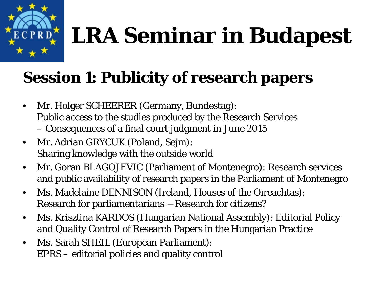# **LRA Seminar in Budapest**

#### **Session 1: Publicity of research papers**

- Mr. Holger SCHEERER (Germany, Bundestag): Public access to the studies produced by the Research Services – Consequences of a final court judgment in June 2015
- Mr. Adrian GRYCUK (Poland, Sejm): Sharing knowledge with the outside world
- Mr. Goran BLAGOJEVIC (Parliament of Montenegro): Research services and public availability of research papers in the Parliament of Montenegro
- Ms. Madelaine DENNISON (Ireland, Houses of the Oireachtas): Research for parliamentarians = Research for citizens?
- Ms. Krisztina KARDOS (Hungarian National Assembly): Editorial Policy and Quality Control of Research Papers in the Hungarian Practice
- Ms. Sarah SHEIL (European Parliament): EPRS – editorial policies and quality control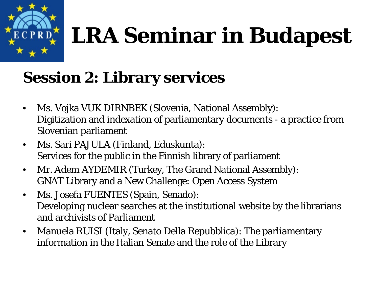# **LRA Seminar in Budapest**

### **Session 2: Library services**

- Ms. Vojka VUK DIRNBEK (Slovenia, National Assembly): Digitization and indexation of parliamentary documents - a practice from Slovenian parliament
- Ms. Sari PAJULA (Finland, Eduskunta): Services for the public in the Finnish library of parliament
- Mr. Adem AYDEMIR (Turkey, The Grand National Assembly): GNAT Library and a New Challenge: Open Access System
- Ms. Josefa FUENTES (Spain, Senado): Developing nuclear searches at the institutional website by the librarians and archivists of Parliament
- Manuela RUISI (Italy, Senato Della Repubblica): The parliamentary information in the Italian Senate and the role of the Library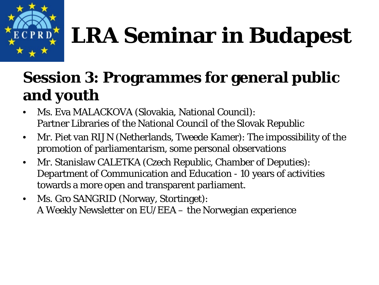

# **LRA Seminar in Budapest**

#### **Session 3: Programmes for general public and youth**

- Ms. Eva MALACKOVA (Slovakia, National Council): Partner Libraries of the National Council of the Slovak Republic
- Mr. Piet van RIJN (Netherlands, Tweede Kamer): The impossibility of the promotion of parliamentarism, some personal observations
- Mr. Stanislaw CALETKA (Czech Republic, Chamber of Deputies): Department of Communication and Education - 10 years of activities towards a more open and transparent parliament.
- Ms. Gro SANGRID (Norway, Stortinget): A Weekly Newsletter on EU/EEA – the Norwegian experience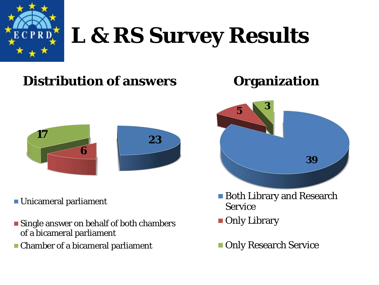

### **L & RS Survey Results**

#### **Distribution of answers Organization**



Unicameral parliament

- **Single answer on behalf of both chambers** of a bicameral parliament
- Chamber of a bicameral parliament





- Both Library and Research Service
- **Only Library**
- **Only Research Service**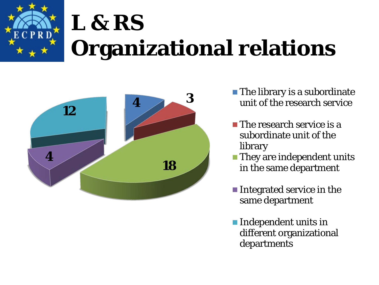



- $\blacksquare$  The library is a subordinate unit of the research service
- $\blacksquare$  The research service is a subordinate unit of the library
- **They are independent units** in the same department
- Integrated service in the same department
- **Independent units in** different organizational departments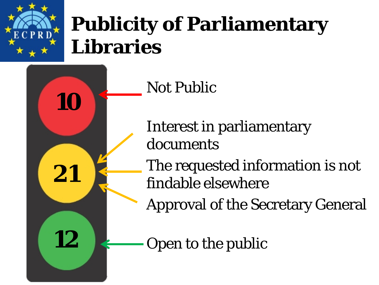

**10**

**21**

**12**

### **Publicity of Parliamentary Libraries**

Not Public

Interest in parliamentary documents

The requested information is not findable elsewhere

Approval of the Secretary General

Open to the public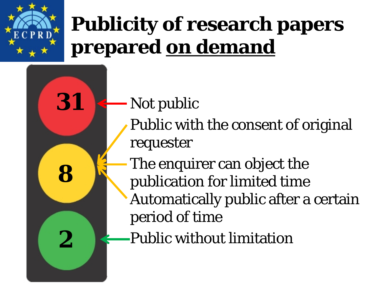

**31**

**8**

**2**

### **Publicity of research papers prepared on demand**

- Not public
	- Public with the consent of original requester
	- The enquirer can object the publication for limited time Automatically public after a certain period of time
	- Public without limitation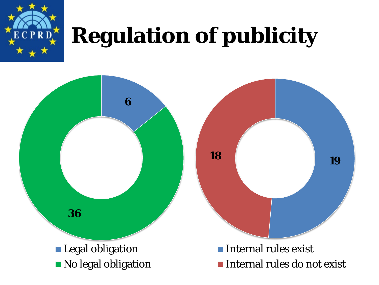

### **Regulation of publicity**

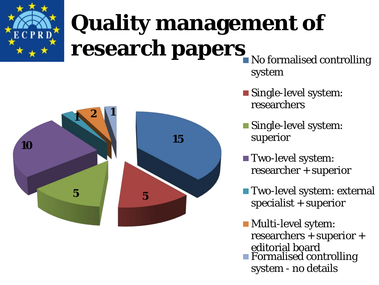

# **Quality management of research papers**



No formalised controlling system

- Single-level system: researchers
- **Single-level system:** superior
- Two-level system: researcher + superior
- Two-level system: external specialist + superior

**Multi-level sytem:** researchers + superior + editorial board ■ Formalised controlling system - no details